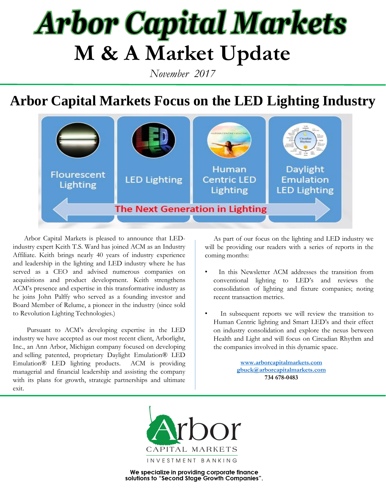## **Arbor Capital Markets M & A Market Update**

*November 2017*

### **Arbor Capital Markets Focus on the LED Lighting Industry**



 Arbor Capital Markets is pleased to announce that LEDindustry expert Keith T.S. Ward has joined ACM as an Industry Affiliate. Keith brings nearly 40 years of industry experience and leadership in the lighting and LED industry where he has served as a CEO and advised numerous companies on acquisitions and product development. Keith strengthens ACM's presence and expertise in this transformative industry as he joins John Palffy who served as a founding investor and Board Member of Relume, a pioneer in the industry (since sold to Revolution Lighting Technologies.)

 Pursuant to ACM's developing expertise in the LED industry we have accepted as our most recent client, Arborlight, Inc., an Ann Arbor, Michigan company focused on developing and selling patented, proprietary Daylight Emulation® LED Emulation® LED lighting products. ACM is providing managerial and financial leadership and assisting the company with its plans for growth, strategic partnerships and ultimate exit.

 As part of our focus on the lighting and LED industry we will be providing our readers with a series of reports in the coming months:

- In this Newsletter ACM addresses the transition from conventional lighting to LED's and reviews the consolidation of lighting and fixture companies; noting recent transaction metrics.
- In subsequent reports we will review the transition to Human Centric lighting and Smart LED's and their effect on industry consolidation and explore the nexus between Health and Light and will focus on Circadian Rhythm and the companies involved in this dynamic space.

**[www.arborcapitalmarkets.com](http://www.arborcapital/) [gbuck@arborcapitalmarkets.com](mailto:gbuck@acm.com) 734 678-0483**

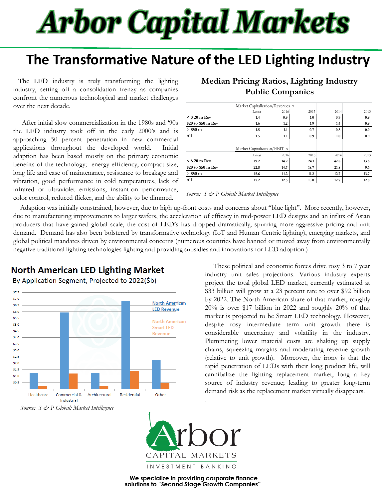# **Arbor Capital Markets**

### **The Transformative Nature of the LED Lighting Industry**

 The LED industry is truly transforming the lighting industry, setting off a consolidation frenzy as companies confront the numerous technological and market challenges over the next decade.

 After initial slow commercialization in the 1980s and '90s the LED industry took off in the early 2000's and is approaching 50 percent penetration in new commercial applications throughout the developed world. Initial adaption has been based mostly on the primary economic benefits of the technology; energy efficiency, compact size, long life and ease of maintenance, resistance to breakage and vibration, good performance in cold temperatures, lack of infrared or ultraviolet emissions, instant-on performance, color control, reduced flicker, and the ability to be dimmed.

|                    | Market Capitalization/Revenues x |      |      |      |      |
|--------------------|----------------------------------|------|------|------|------|
|                    | Latest                           | 2016 | 2015 | 2014 | 2013 |
| $<$ \$ 20 m Rev    | 1.4                              | 0.9  | 1.0  | 0.9  | 0.9  |
| \$20 to \$50 m Rev | 1.6                              | 1.2  | 1.9  | 1.4  | 0.9  |
| $>$ \$50 m         | 1.5                              | 1.1  | 0.7  | 0.8  | 0.9  |
| All                | 1.5                              | 1.1  | 0.9  | 1.0  | 0.9  |
|                    | Market Capitalization/EBIT x     |      |      |      |      |
|                    | Latest                           | 2016 | 2015 | 2014 | 2013 |
| $<$ \$ 20 m Rev    | 19.2                             | 14.2 | 24.1 | 42.8 | 13.6 |
| \$20 to \$50 m Rev | 22.8                             | 14.7 | 18.7 | 21.8 | 9.6  |
| $>$ \$50 m         | 15.6                             | 11.2 | 11.2 | 12.7 | 13.7 |
| All                | 17.2                             | 12.3 | 15.0 | 12.7 | 12.8 |

#### **Median Pricing Ratios, Lighting Industry Public Companies**

*Source: S & P Global: Market Intelligence*

. due to manufacturing improvements to larger wafers, the acceleration of efficacy in mid-power LED designs and an influx of Asian Adaption was initially constrained, however, due to high up-front costs and concerns about "blue light". More recently, however, producers that have gained global scale, the cost of LED's has dropped dramatically, spurring more aggressive pricing and unit demand. Demand has also been bolstered by transformative technology (IoT and Human Centric lighting), emerging markets, and global political mandates driven by environmental concerns (numerous countries have banned or moved away from environmentally negative traditional lighting technologies lighting and providing subsidies and innovations for LED adoption.)

#### North American LED Lighting Market

By Application Segment, Projected to 2022(\$b)



*Source: S & P Global: Market Intelligence*

 These political and economic forces drive rosy 3 to 7 year industry unit sales projections. Various industry experts project the total global LED market, currently estimated at \$33 billion will grow at a 23 percent rate to over \$92 billion by 2022. The North American share of that market, roughly 20% is over \$17 billion in 2022 and roughly 20% of that market is projected to be Smart LED technology. However, despite rosy intermediate term unit growth there is considerable uncertainty and volatility in the industry. Plummeting lower material costs are shaking up supply chains, squeezing margins and moderating revenue growth (relative to unit growth). Moreover, the irony is that the rapid penetration of LEDs with their long product life, will cannibalize the lighting replacement market, long a key source of industry revenue; leading to greater long-term demand risk as the replacement market virtually disappears.



.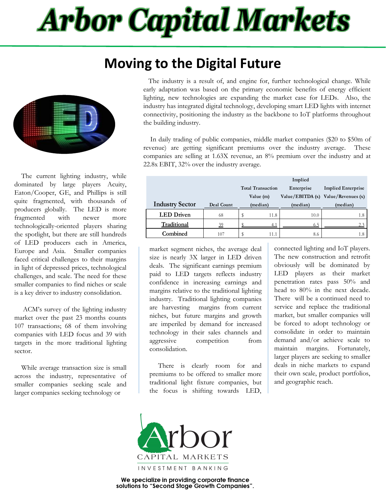## **Arbor Capital Markets**

### **Moving to the Digital Future**



 The current lighting industry, while dominated by large players Acuity, Eaton/Cooper, GE, and Phillips is still quite fragmented, with thousands of producers globally. The LED is more fragmented with newer more technologically-oriented players sharing the spotlight, but there are still hundreds of LED producers each in America, Europe and Asia. Smaller companies faced critical challenges to their margins in light of depressed prices, technological challenges, and scale. The need for these smaller companies to find niches or scale is a key driver to industry consolidation.

 ACM's survey of the lighting industry market over the past 23 months counts 107 transactions; 68 of them involving companies with LED focus and 39 with targets in the more traditional lighting sector.

 While average transaction size is small across the industry, representative of smaller companies seeking scale and larger companies seeking technology or

 The industry is a result of, and engine for, further technological change. While early adaptation was based on the primary economic benefits of energy efficient lighting, new technologies are expanding the market case for LEDs. Also, the industry has integrated digital technology, developing smart LED lights with internet connectivity, positioning the industry as the backbone to IoT platforms throughout the building industry.

 In daily trading of public companies, middle market companies (\$20 to \$50m of revenue) are getting significant premiums over the industry average. These companies are selling at 1.63X revenue, an 8% premium over the industry and at 22.8x EBIT, 32% over the industry average.

|                        |                | Implied                                |          |                           |                    |  |
|------------------------|----------------|----------------------------------------|----------|---------------------------|--------------------|--|
|                        |                | <b>Total Transaction</b><br>Enterprise |          | <b>Implied Enterprise</b> |                    |  |
|                        |                | Value (m)                              |          | Value/EBITDA (x)          | Value/Revenues (x) |  |
| <b>Industry Sector</b> | Deal Count     |                                        | (median) | (median)                  | (median)           |  |
| <b>LED</b> Driven      | 68             | Φ                                      | 11.8     | 10.0                      | 1.8                |  |
| Traditional            | $\frac{39}{2}$ |                                        | 4.1      | 6.5                       | 2.3                |  |
| Combined               | 107            | D                                      | 11.1     | 8.6                       | 1.8                |  |

market segment niches, the average deal size is nearly 3X larger in LED driven deals. The significant earnings premium paid to LED targets reflects industry confidence in increasing earnings and margins relative to the traditional lighting industry. Traditional lighting companies are harvesting margins from current niches, but future margins and growth are imperiled by demand for increased technology in their sales channels and aggressive competition from consolidation.

 There is clearly room for and premiums to be offered to smaller more traditional light fixture companies, but the focus is shifting towards LED,

connected lighting and IoT players. The new construction and retrofit obviously will be dominated by LED players as their market penetration rates pass 50% and head to 80% in the next decade. There will be a continued need to service and replace the traditional market, but smaller companies will be forced to adopt technology or consolidate in order to maintain demand and/or achieve scale to maintain margins. Fortunately, larger players are seeking to smaller deals in niche markets to expand their own scale, product portfolios, and geographic reach.